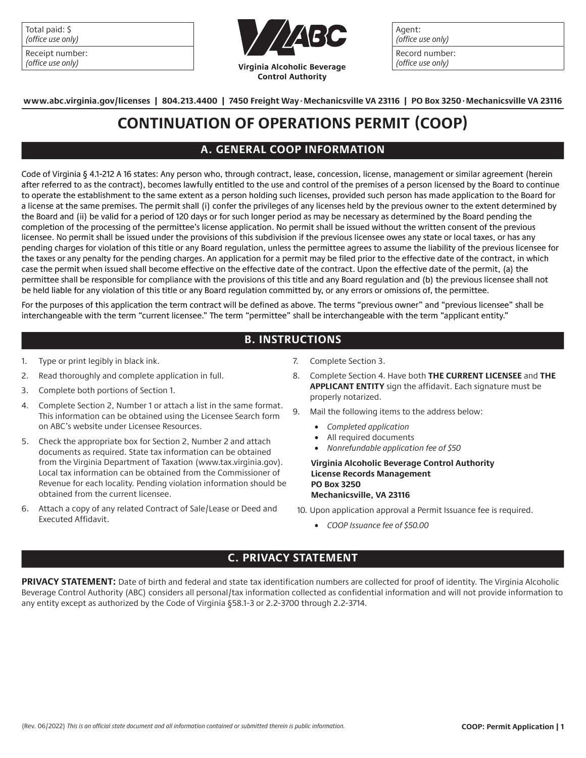| Total paid: \$    |
|-------------------|
| (office use only) |

| Receipt number:   |
|-------------------|
| (office use only) |



Agent: (office use only) Record number: (office use only)

**www.abc.virginia.gov/licenses | 804.213.4400 | 7450 Freight Way.Mechanicsville VA 23116 | PO Box 3250.Mechanicsville VA 23116**

# **CONTINUATION OF OPERATIONS PERMIT (COOP)**

## **A. GENERAL COOP INFORMATION**

Code of Virginia § 4.1-212 A 16 states: Any person who, through contract, lease, concession, license, management or similar agreement (herein after referred to as the contract), becomes lawfully entitled to the use and control of the premises of a person licensed by the Board to continue to operate the establishment to the same extent as a person holding such licenses, provided such person has made application to the Board for a license at the same premises. The permit shall (i) confer the privileges of any licenses held by the previous owner to the extent determined by the Board and (ii) be valid for a period of 120 days or for such longer period as may be necessary as determined by the Board pending the completion of the processing of the permittee's license application. No permit shall be issued without the written consent of the previous licensee. No permit shall be issued under the provisions of this subdivision if the previous licensee owes any state or local taxes, or has any pending charges for violation of this title or any Board regulation, unless the permittee agrees to assume the liability of the previous licensee for the taxes or any penalty for the pending charges. An application for a permit may be filed prior to the effective date of the contract, in which case the permit when issued shall become effective on the effective date of the contract. Upon the effective date of the permit, (a) the permittee shall be responsible for compliance with the provisions of this title and any Board regulation and (b) the previous licensee shall not be held liable for any violation of this title or any Board regulation committed by, or any errors or omissions of, the permittee.

For the purposes of this application the term contract will be defined as above. The terms "previous owner" and "previous licensee" shall be interchangeable with the term "current licensee." The term "permittee" shall be interchangeable with the term "applicant entity."

## **B. INSTRUCTIONS**

- 1. Type or print legibly in black ink.
- 2. Read thoroughly and complete application in full.
- 3. Complete both portions of Section 1.
- 4. Complete Section 2, Number 1 or attach a list in the same format. This information can be obtained using the Licensee Search form on ABC's website under Licensee Resources.
- 5. Check the appropriate box for Section 2, Number 2 and attach documents as required. State tax information can be obtained from the Virginia Department of Taxation (www.tax.virginia.gov). Local tax information can be obtained from the Commissioner of Revenue for each locality. Pending violation information should be obtained from the current licensee.
- 6. Attach a copy of any related Contract of Sale/Lease or Deed and Executed Affidavit.
- 7. Complete Section 3.
- 8. Complete Section 4. Have both **THE CURRENT LICENSEE** and **THE APPLICANT ENTITY** sign the affidavit. Each signature must be properly notarized.
- 9. Mail the following items to the address below:
	- *Completed application*
	- All required documents
	- *Nonrefundable application fee of \$50*

#### **Virginia Alcoholic Beverage Control Authority License Records Management PO Box 3250 Mechanicsville, VA 23116**

- 10. Upon application approval a Permit Issuance fee is required.
	- *COOP Issuance fee of \$50.00*

### **C. PRIVACY STATEMENT**

**PRIVACY STATEMENT:** Date of birth and federal and state tax identification numbers are collected for proof of identity. The Virginia Alcoholic Beverage Control Authority (ABC) considers all personal/tax information collected as confidential information and will not provide information to any entity except as authorized by the Code of Virginia §58.1-3 or 2.2-3700 through 2.2-3714.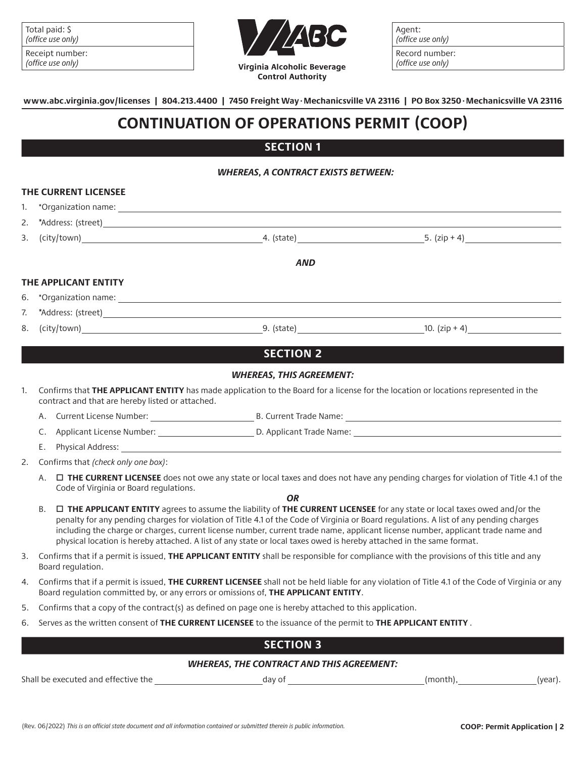| Total paid: \$<br>  (office use only) |  |
|---------------------------------------|--|
| Receipt number:                       |  |

| <b>ICCCIPL HUIHD</b> |  |
|----------------------|--|
| (office use only)    |  |



Agent: (office use only) Record number: (office use only)

**www.abc.virginia.gov/licenses | 804.213.4400 | 7450 Freight Way.Mechanicsville VA 23116 | PO Box 3250.Mechanicsville VA 23116**

## **CONTINUATION OF OPERATIONS PERMIT (COOP)**

### **SECTION 1**

#### *WHEREAS, A CONTRACT EXISTS BETWEEN:*

|    | THE CURRENT LICENSEE                                                                                                                                                                                                                                                                                                                                                                                                                                                                                                                                      |                                 |                                                                                                                                      |
|----|-----------------------------------------------------------------------------------------------------------------------------------------------------------------------------------------------------------------------------------------------------------------------------------------------------------------------------------------------------------------------------------------------------------------------------------------------------------------------------------------------------------------------------------------------------------|---------------------------------|--------------------------------------------------------------------------------------------------------------------------------------|
| 1. |                                                                                                                                                                                                                                                                                                                                                                                                                                                                                                                                                           |                                 |                                                                                                                                      |
| 2. |                                                                                                                                                                                                                                                                                                                                                                                                                                                                                                                                                           |                                 |                                                                                                                                      |
| 3. |                                                                                                                                                                                                                                                                                                                                                                                                                                                                                                                                                           |                                 | $24. (state)$ $5. (zip + 4)$                                                                                                         |
|    |                                                                                                                                                                                                                                                                                                                                                                                                                                                                                                                                                           | <b>AND</b>                      |                                                                                                                                      |
|    | THE APPLICANT ENTITY                                                                                                                                                                                                                                                                                                                                                                                                                                                                                                                                      |                                 |                                                                                                                                      |
| 6. | *Organization name: contract to the contract of the contract of the contract of the contract of the contract of                                                                                                                                                                                                                                                                                                                                                                                                                                           |                                 |                                                                                                                                      |
| 7. |                                                                                                                                                                                                                                                                                                                                                                                                                                                                                                                                                           |                                 |                                                                                                                                      |
| 8. |                                                                                                                                                                                                                                                                                                                                                                                                                                                                                                                                                           |                                 | $(city town)$ (city/town) 9. (state) 9. (state) 9. (state) 9. (state) 9. (zip + 4)                                                   |
|    |                                                                                                                                                                                                                                                                                                                                                                                                                                                                                                                                                           | <b>SECTION 2</b>                |                                                                                                                                      |
|    |                                                                                                                                                                                                                                                                                                                                                                                                                                                                                                                                                           | <b>WHEREAS, THIS AGREEMENT:</b> |                                                                                                                                      |
| 1. | Confirms that THE APPLICANT ENTITY has made application to the Board for a license for the location or locations represented in the<br>contract and that are hereby listed or attached.                                                                                                                                                                                                                                                                                                                                                                   |                                 |                                                                                                                                      |
|    | Α.                                                                                                                                                                                                                                                                                                                                                                                                                                                                                                                                                        |                                 |                                                                                                                                      |
|    | C.                                                                                                                                                                                                                                                                                                                                                                                                                                                                                                                                                        |                                 |                                                                                                                                      |
|    | Е.                                                                                                                                                                                                                                                                                                                                                                                                                                                                                                                                                        |                                 |                                                                                                                                      |
| 2. | Confirms that (check only one box):                                                                                                                                                                                                                                                                                                                                                                                                                                                                                                                       |                                 |                                                                                                                                      |
|    | Α.<br>Code of Virginia or Board regulations.                                                                                                                                                                                                                                                                                                                                                                                                                                                                                                              |                                 | □ THE CURRENT LICENSEE does not owe any state or local taxes and does not have any pending charges for violation of Title 4.1 of the |
|    | <b>OR</b><br>□ THE APPLICANT ENTITY agrees to assume the liability of THE CURRENT LICENSEE for any state or local taxes owed and/or the<br><b>B.</b><br>penalty for any pending charges for violation of Title 4.1 of the Code of Virginia or Board regulations. A list of any pending charges<br>including the charge or charges, current license number, current trade name, applicant license number, applicant trade name and<br>physical location is hereby attached. A list of any state or local taxes owed is hereby attached in the same format. |                                 |                                                                                                                                      |
| 3. | Confirms that if a permit is issued, THE APPLICANT ENTITY shall be responsible for compliance with the provisions of this title and any<br>Board regulation.                                                                                                                                                                                                                                                                                                                                                                                              |                                 |                                                                                                                                      |
| 4. | Confirms that if a permit is issued, THE CURRENT LICENSEE shall not be held liable for any violation of Title 4.1 of the Code of Virginia or any<br>Board regulation committed by, or any errors or omissions of, THE APPLICANT ENTITY.                                                                                                                                                                                                                                                                                                                   |                                 |                                                                                                                                      |
| 5. | Confirms that a copy of the contract(s) as defined on page one is hereby attached to this application.                                                                                                                                                                                                                                                                                                                                                                                                                                                    |                                 |                                                                                                                                      |
| 6. | Serves as the written consent of THE CURRENT LICENSEE to the issuance of the permit to THE APPLICANT ENTITY.                                                                                                                                                                                                                                                                                                                                                                                                                                              |                                 |                                                                                                                                      |

## **SECTION 3**

#### *WHEREAS, THE CONTRACT AND THIS AGREEMENT:*

Shall be executed and effective the day of day of day of day of day of (month), (year).